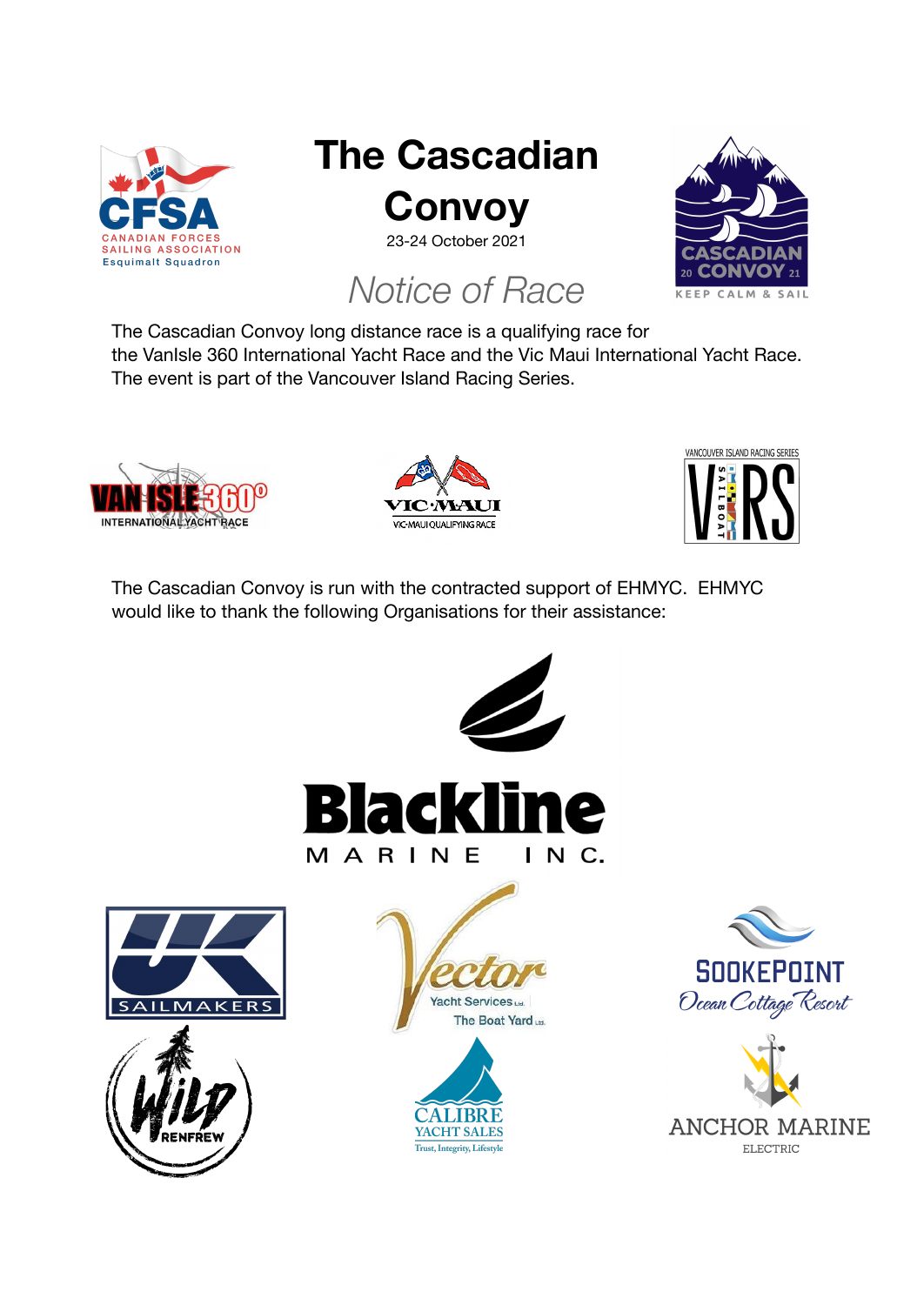

# **The Cascadian Convoy**

23-24 October 2021

# *Notice of Race*



The Cascadian Convoy long distance race is a qualifying race for the VanIsle 360 International Yacht Race and the Vic Maui International Yacht Race. The event is part of the Vancouver Island Racing Series.







The Cascadian Convoy is run with the contracted support of EHMYC. EHMYC would like to thank the following Organisations for their assistance:















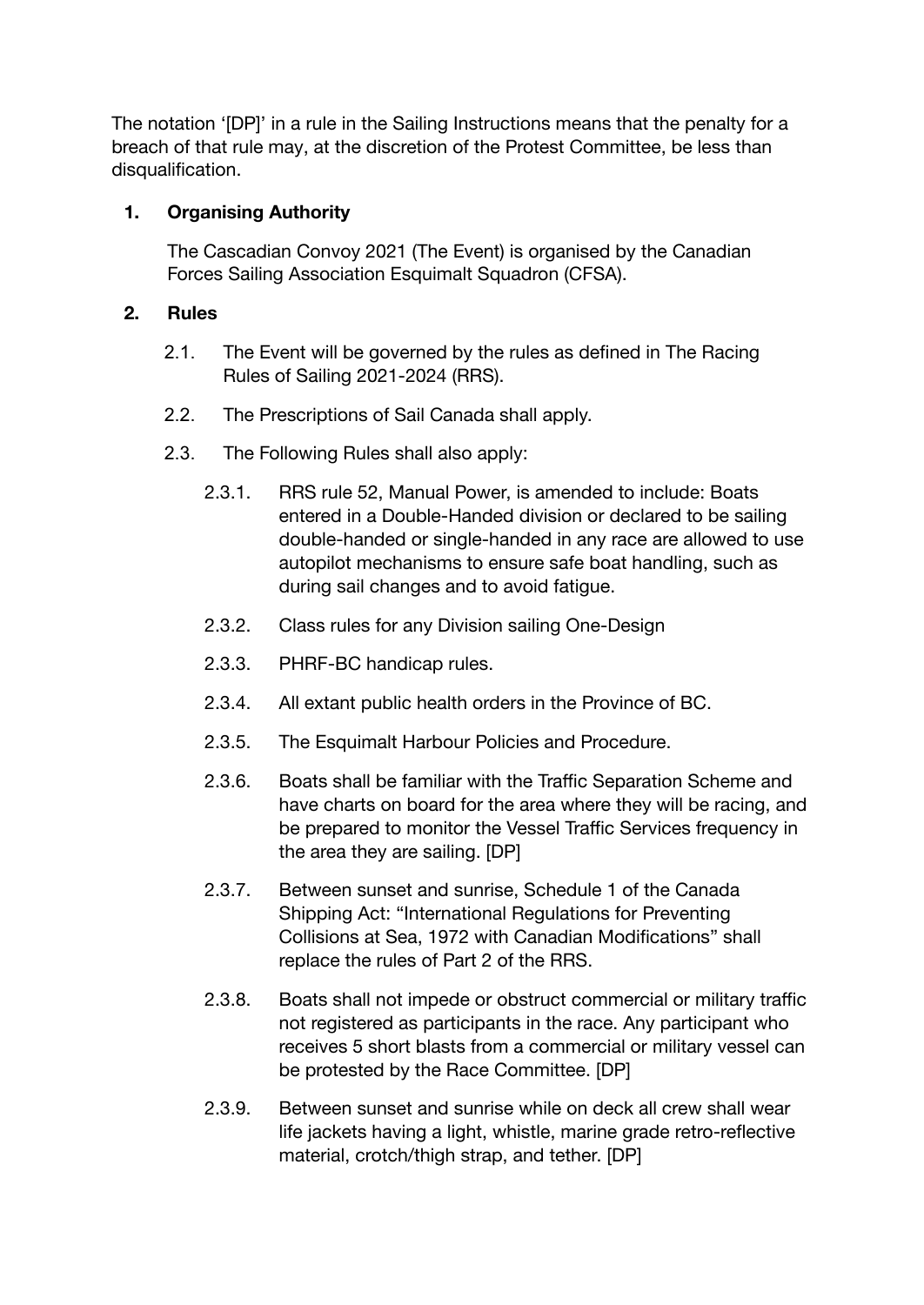The notation '[DP]' in a rule in the Sailing Instructions means that the penalty for a breach of that rule may, at the discretion of the Protest Committee, be less than disqualification.

# **1. Organising Authority**

The Cascadian Convoy 2021 (The Event) is organised by the Canadian Forces Sailing Association Esquimalt Squadron (CFSA).

# **2. Rules**

- 2.1. The Event will be governed by the rules as defined in The Racing Rules of Sailing 2021-2024 (RRS).
- 2.2. The Prescriptions of Sail Canada shall apply.
- 2.3. The Following Rules shall also apply:
	- 2.3.1. RRS rule 52, Manual Power, is amended to include: Boats entered in a Double-Handed division or declared to be sailing double-handed or single-handed in any race are allowed to use autopilot mechanisms to ensure safe boat handling, such as during sail changes and to avoid fatigue.
	- 2.3.2. Class rules for any Division sailing One-Design
	- 2.3.3. PHRF-BC handicap rules.
	- 2.3.4. All extant public health orders in the Province of BC.
	- 2.3.5. The Esquimalt Harbour Policies and Procedure.
	- 2.3.6. Boats shall be familiar with the Traffic Separation Scheme and have charts on board for the area where they will be racing, and be prepared to monitor the Vessel Traffic Services frequency in the area they are sailing. [DP]
	- 2.3.7. Between sunset and sunrise, Schedule 1 of the Canada Shipping Act: "International Regulations for Preventing Collisions at Sea, 1972 with Canadian Modifications" shall replace the rules of Part 2 of the RRS.
	- 2.3.8. Boats shall not impede or obstruct commercial or military traffic not registered as participants in the race. Any participant who receives 5 short blasts from a commercial or military vessel can be protested by the Race Committee. [DP]
	- 2.3.9. Between sunset and sunrise while on deck all crew shall wear life jackets having a light, whistle, marine grade retro-reflective material, crotch/thigh strap, and tether. [DP]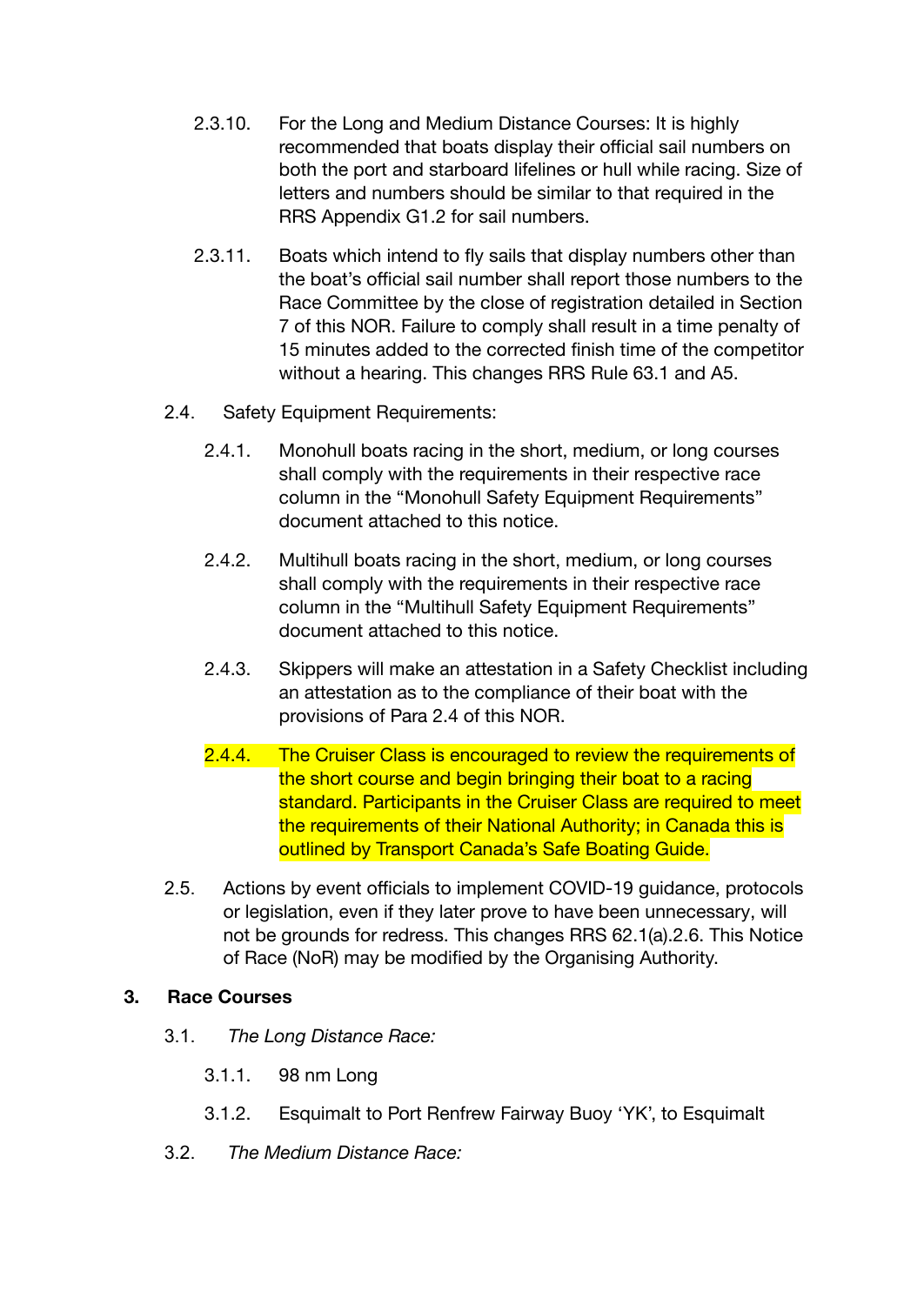- 2.3.10. For the Long and Medium Distance Courses: It is highly recommended that boats display their official sail numbers on both the port and starboard lifelines or hull while racing. Size of letters and numbers should be similar to that required in the RRS Appendix G1.2 for sail numbers.
- 2.3.11. Boats which intend to fly sails that display numbers other than the boat's official sail number shall report those numbers to the Race Committee by the close of registration detailed in Section 7 of this NOR. Failure to comply shall result in a time penalty of 15 minutes added to the corrected finish time of the competitor without a hearing. This changes RRS Rule 63.1 and A5.
- 2.4. Safety Equipment Requirements:
	- 2.4.1. Monohull boats racing in the short, medium, or long courses shall comply with the requirements in their respective race column in the "Monohull Safety Equipment Requirements" document attached to this notice.
	- 2.4.2. Multihull boats racing in the short, medium, or long courses shall comply with the requirements in their respective race column in the "Multihull Safety Equipment Requirements" document attached to this notice.
	- 2.4.3. Skippers will make an attestation in a Safety Checklist including an attestation as to the compliance of their boat with the provisions of Para 2.4 of this NOR.
	- 2.4.4. The Cruiser Class is encouraged to review the requirements of the short course and begin bringing their boat to a racing standard. Participants in the Cruiser Class are required to meet the requirements of their National Authority; in Canada this is outlined by Transport Canada's Safe Boating Guide.
- 2.5. Actions by event officials to implement COVID-19 guidance, protocols or legislation, even if they later prove to have been unnecessary, will not be grounds for redress. This changes RRS 62.1(a).2.6. This Notice of Race (NoR) may be modified by the Organising Authority.

# **3. Race Courses**

- 3.1. *The Long Distance Race:*
	- 3.1.1. 98 nm Long
	- 3.1.2. Esquimalt to Port Renfrew Fairway Buoy 'YK', to Esquimalt
- 3.2. *The Medium Distance Race:*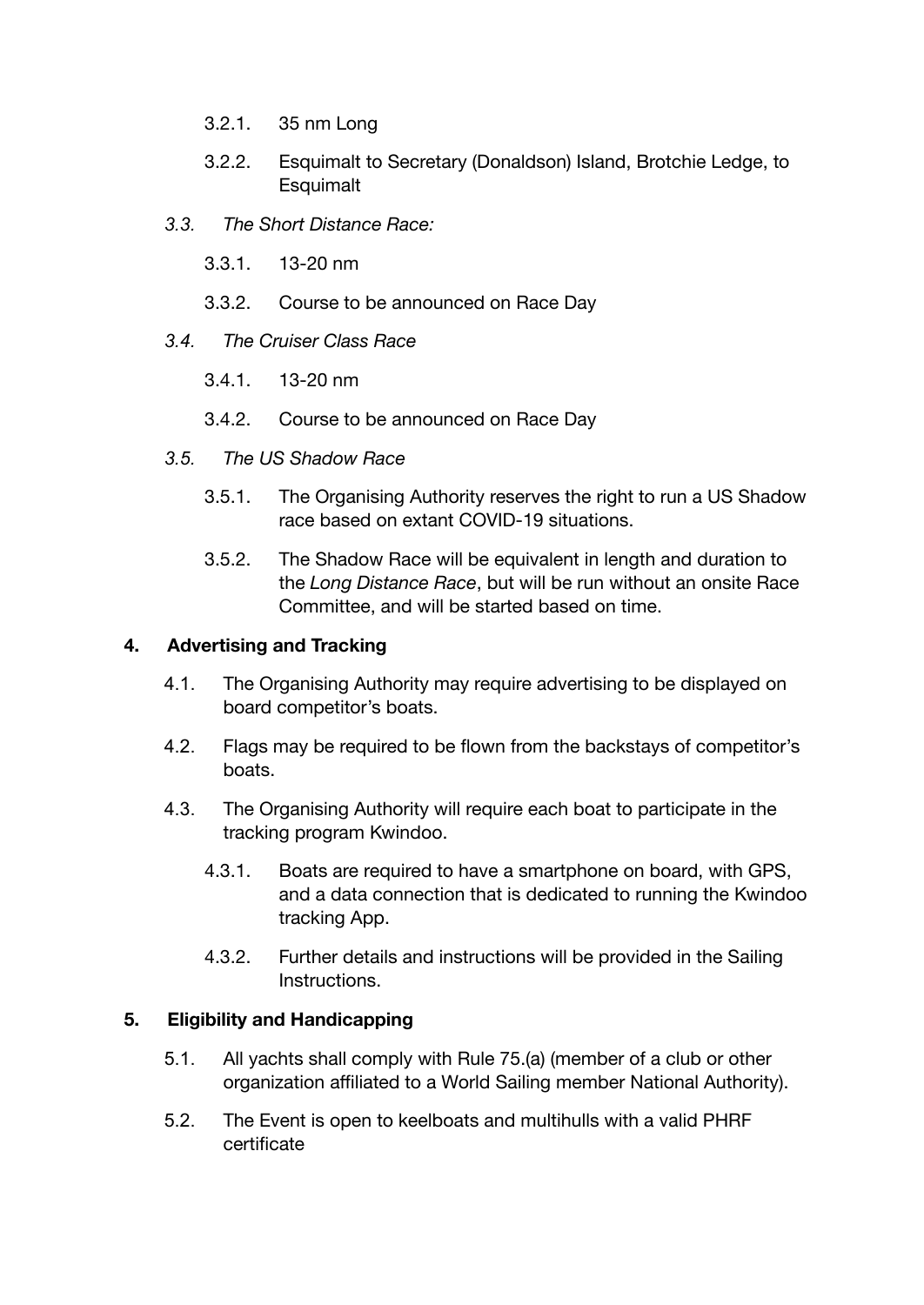- 3.2.1. 35 nm Long
- 3.2.2. Esquimalt to Secretary (Donaldson) Island, Brotchie Ledge, to **Esquimalt**
- *3.3. The Short Distance Race:*
	- 3.3.1. 13-20 nm
	- 3.3.2. Course to be announced on Race Day
- *3.4. The Cruiser Class Race*
	- 3.4.1. 13-20 nm
	- 3.4.2. Course to be announced on Race Day
- *3.5. The US Shadow Race*
	- 3.5.1. The Organising Authority reserves the right to run a US Shadow race based on extant COVID-19 situations.
	- 3.5.2. The Shadow Race will be equivalent in length and duration to the *Long Distance Race*, but will be run without an onsite Race Committee, and will be started based on time.

# **4. Advertising and Tracking**

- 4.1. The Organising Authority may require advertising to be displayed on board competitor's boats.
- 4.2. Flags may be required to be flown from the backstays of competitor's boats.
- 4.3. The Organising Authority will require each boat to participate in the tracking program Kwindoo.
	- 4.3.1. Boats are required to have a smartphone on board, with GPS, and a data connection that is dedicated to running the Kwindoo tracking App.
	- 4.3.2. Further details and instructions will be provided in the Sailing **Instructions**

# **5. Eligibility and Handicapping**

- 5.1. All yachts shall comply with Rule 75.(a) (member of a club or other organization affiliated to a World Sailing member National Authority).
- 5.2. The Event is open to keelboats and multihulls with a valid PHRF certificate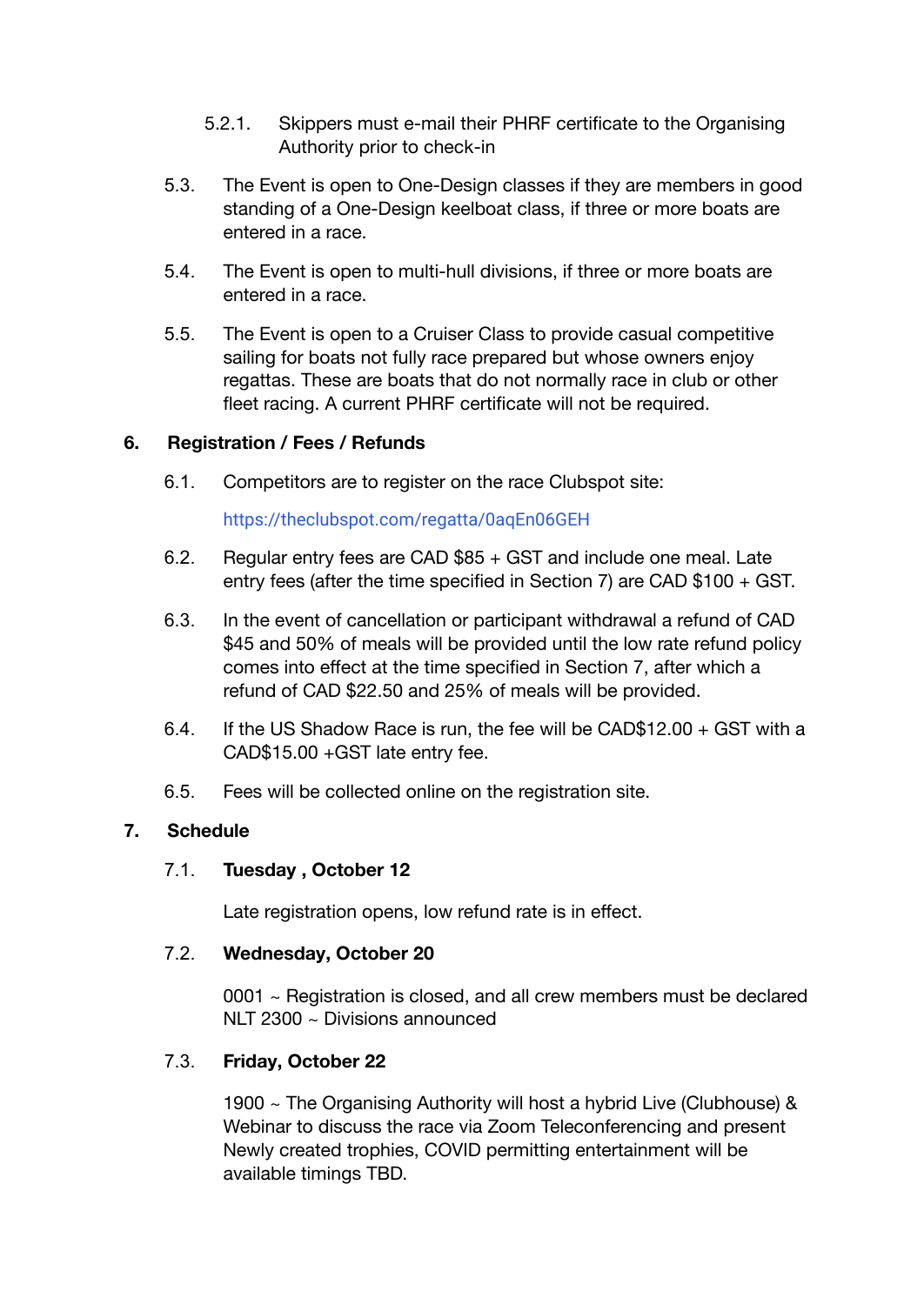- 5.2.1. Skippers must e-mail their PHRF certificate to the Organising Authority prior to check-in
- 5.3. The Event is open to One-Design classes if they are members in good standing of a One-Design keelboat class, if three or more boats are entered in a race.
- 5.4. The Event is open to multi-hull divisions, if three or more boats are entered in a race.
- 5.5. The Event is open to a Cruiser Class to provide casual competitive sailing for boats not fully race prepared but whose owners enjoy regattas. These are boats that do not normally race in club or other fleet racing. A current PHRF certificate will not be required.

#### **6. Registration / Fees / Refunds**

6.1. Competitors are to register on the race Clubspot site:

# <https://theclubspot.com/regatta/0aqEn06GEH>

- 6.2. Regular entry fees are CAD \$85 + GST and include one meal. Late entry fees (after the time specified in Section 7) are CAD \$100 + GST.
- 6.3. In the event of cancellation or participant withdrawal a refund of CAD \$45 and 50% of meals will be provided until the low rate refund policy comes into effect at the time specified in Section 7, after which a refund of CAD \$22.50 and 25% of meals will be provided.
- 6.4. If the US Shadow Race is run, the fee will be CAD\$12.00 + GST with a CAD\$15.00 +GST late entry fee.
- 6.5. Fees will be collected online on the registration site.

#### **7. Schedule**

# 7.1. **Tuesday , October 12**

Late registration opens, low refund rate is in effect.

#### 7.2. **Wednesday, October 20**

0001 ~ Registration is closed, and all crew members must be declared NLT 2300 ~ Divisions announced

# 7.3. **Friday, October 22**

1900 ~ The Organising Authority will host a hybrid Live (Clubhouse) & Webinar to discuss the race via Zoom Teleconferencing and present Newly created trophies, COVID permitting entertainment will be available timings TBD.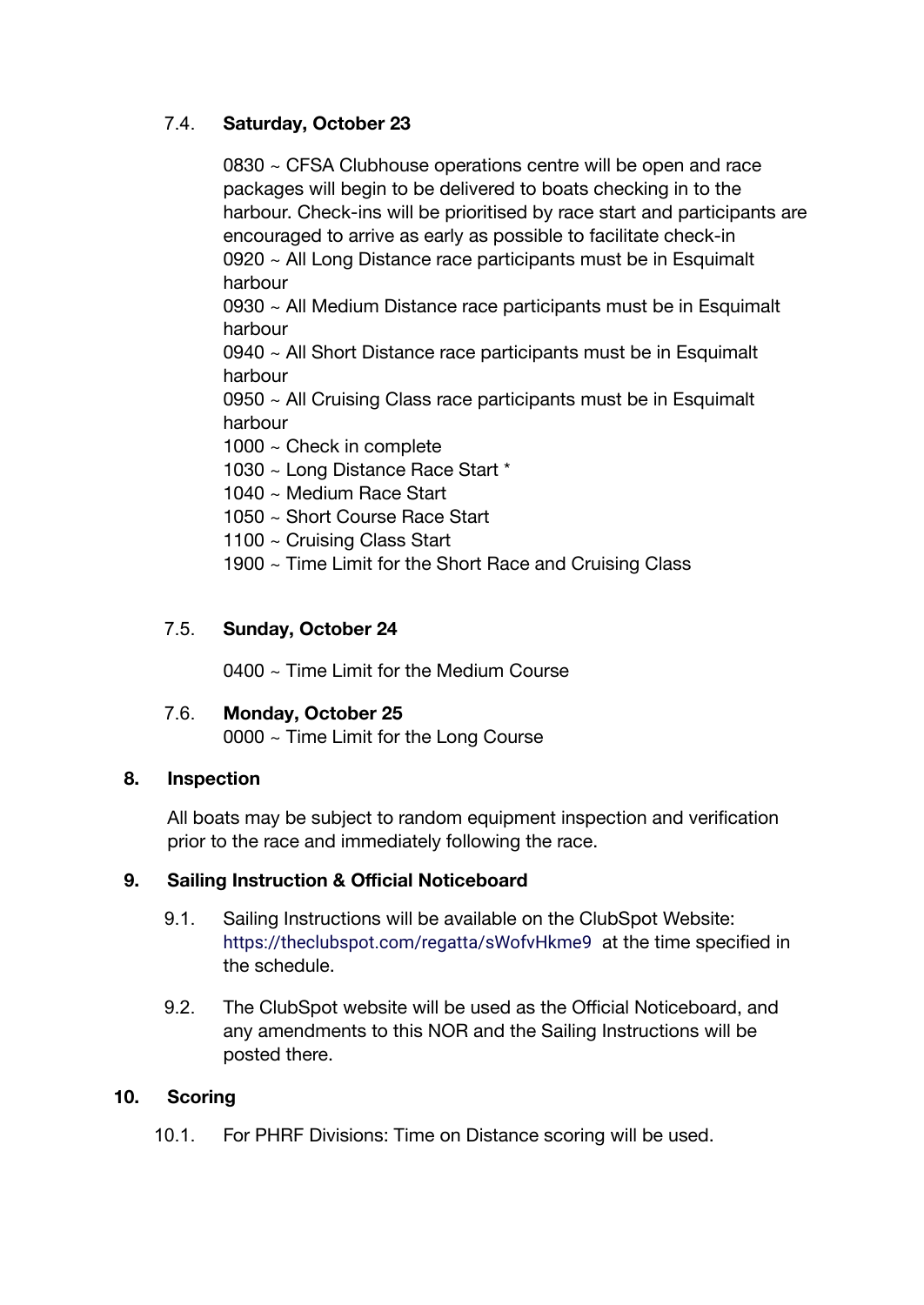# 7.4. **Saturday, October 23**

0830 ~ CFSA Clubhouse operations centre will be open and race packages will begin to be delivered to boats checking in to the harbour. Check-ins will be prioritised by race start and participants are encouraged to arrive as early as possible to facilitate check-in 0920 ~ All Long Distance race participants must be in Esquimalt harbour

0930 ~ All Medium Distance race participants must be in Esquimalt harbour

0940 ~ All Short Distance race participants must be in Esquimalt harbour

 $0950 \sim$  All Cruising Class race participants must be in Esquimalt harbour

1000 ~ Check in complete

1030 ~ Long Distance Race Start \*

- 1040 ~ Medium Race Start
- 1050 ~ Short Course Race Start
- 1100 ~ Cruising Class Start
- 1900 ~ Time Limit for the Short Race and Cruising Class

# 7.5. **Sunday, October 24**

0400 ~ Time Limit for the Medium Course

#### 7.6. **Monday, October 25**

0000 ~ Time Limit for the Long Course

#### **8. Inspection**

All boats may be subject to random equipment inspection and verification prior to the race and immediately following the race.

#### **9. Sailing Instruction & Official Noticeboard**

- 9.1. Sailing Instructions will be available on the ClubSpot Website: <https://theclubspot.com/regatta/sWofvHkme9> at the time specified in the schedule.
- 9.2. The ClubSpot website will be used as the Official Noticeboard, and any amendments to this NOR and the Sailing Instructions will be posted there.

#### **10. Scoring**

10.1. For PHRF Divisions: Time on Distance scoring will be used.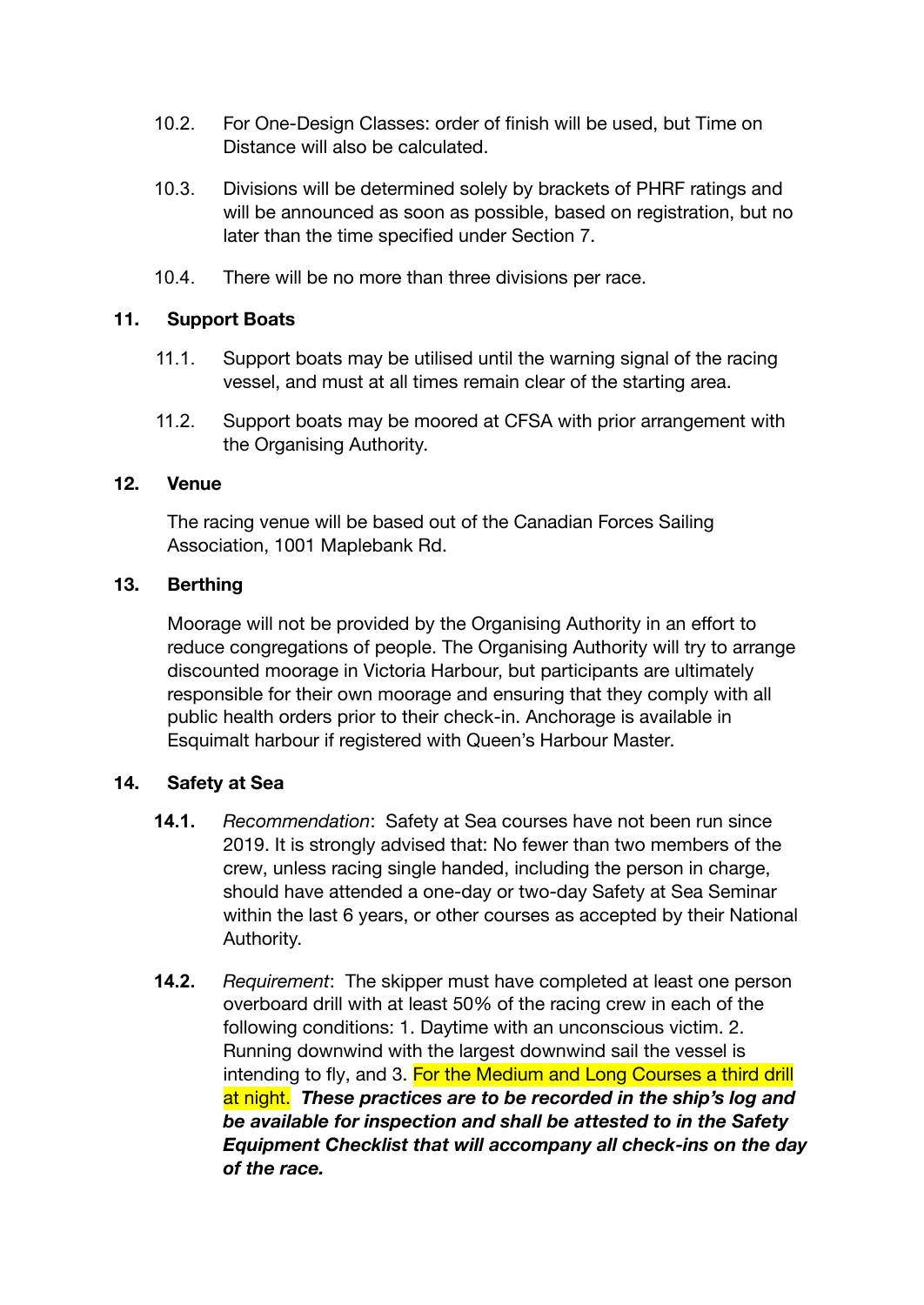- 10.2. For One-Design Classes: order of finish will be used, but Time on Distance will also be calculated.
- 10.3. Divisions will be determined solely by brackets of PHRF ratings and will be announced as soon as possible, based on registration, but no later than the time specified under Section 7.
- 10.4. There will be no more than three divisions per race.

#### **11. Support Boats**

- 11.1. Support boats may be utilised until the warning signal of the racing vessel, and must at all times remain clear of the starting area.
- 11.2. Support boats may be moored at CFSA with prior arrangement with the Organising Authority.

#### **12. Venue**

The racing venue will be based out of the Canadian Forces Sailing Association, 1001 Maplebank Rd.

#### **13. Berthing**

Moorage will not be provided by the Organising Authority in an effort to reduce congregations of people. The Organising Authority will try to arrange discounted moorage in Victoria Harbour, but participants are ultimately responsible for their own moorage and ensuring that they comply with all public health orders prior to their check-in. Anchorage is available in Esquimalt harbour if registered with Queen's Harbour Master.

#### **14. Safety at Sea**

- **14.1.** *Recommendation*: Safety at Sea courses have not been run since 2019. It is strongly advised that: No fewer than two members of the crew, unless racing single handed, including the person in charge, should have attended a one-day or two-day Safety at Sea Seminar within the last 6 years, or other courses as accepted by their National Authority.
- **14.2.** *Requirement*: The skipper must have completed at least one person overboard drill with at least 50% of the racing crew in each of the following conditions: 1. Daytime with an unconscious victim. 2. Running downwind with the largest downwind sail the vessel is intending to fly, and 3. For the Medium and Long Courses a third drill at night. *These practices are to be recorded in the ship's log and be available for inspection and shall be attested to in the Safety Equipment Checklist that will accompany all check-ins on the day of the race.*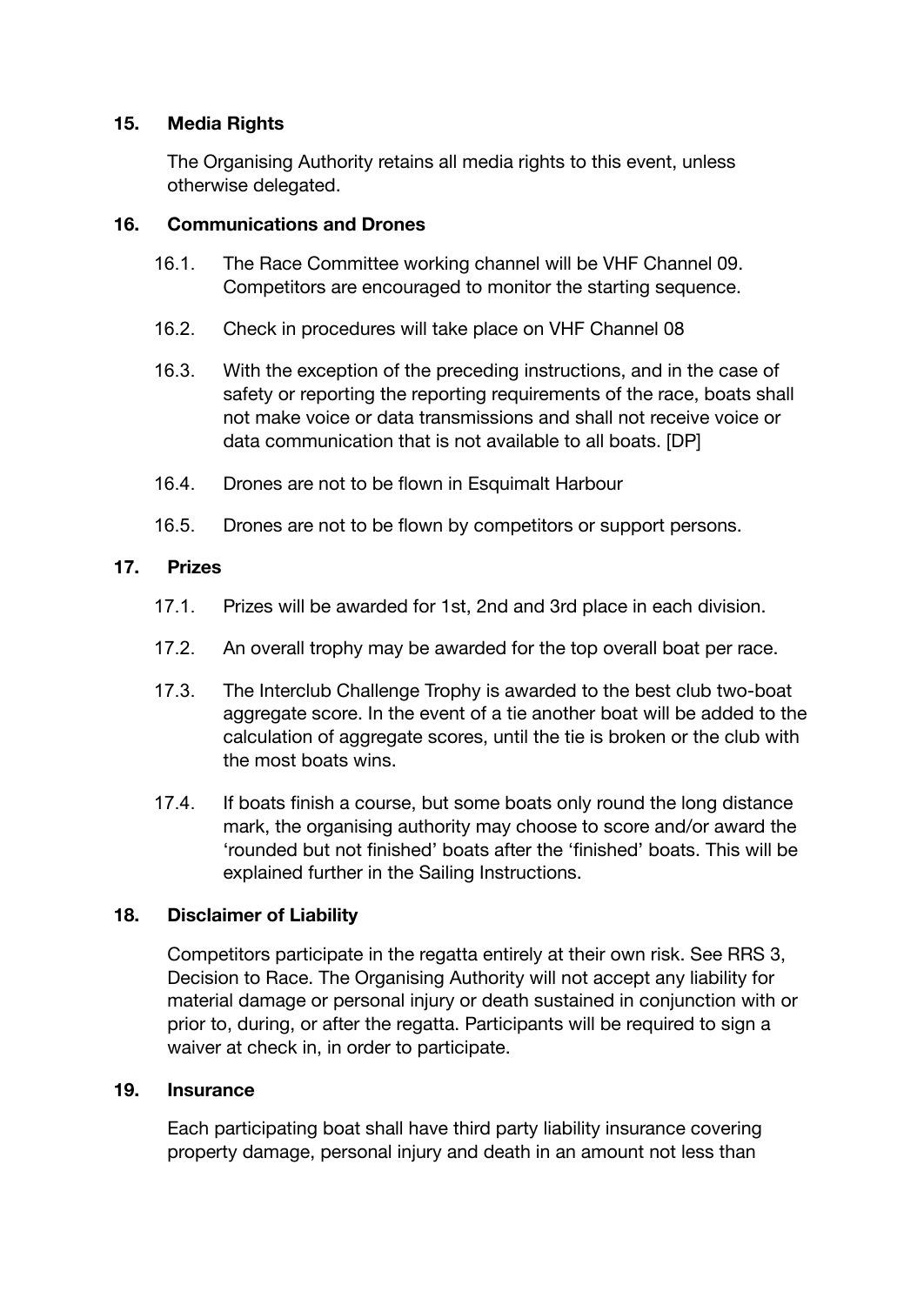# **15. Media Rights**

The Organising Authority retains all media rights to this event, unless otherwise delegated.

#### **16. Communications and Drones**

- 16.1. The Race Committee working channel will be VHF Channel 09. Competitors are encouraged to monitor the starting sequence.
- 16.2. Check in procedures will take place on VHF Channel 08
- 16.3. With the exception of the preceding instructions, and in the case of safety or reporting the reporting requirements of the race, boats shall not make voice or data transmissions and shall not receive voice or data communication that is not available to all boats. [DP]
- 16.4. Drones are not to be flown in Esquimalt Harbour
- 16.5. Drones are not to be flown by competitors or support persons.

# **17. Prizes**

- 17.1. Prizes will be awarded for 1st, 2nd and 3rd place in each division.
- 17.2. An overall trophy may be awarded for the top overall boat per race.
- 17.3. The Interclub Challenge Trophy is awarded to the best club two-boat aggregate score. In the event of a tie another boat will be added to the calculation of aggregate scores, until the tie is broken or the club with the most boats wins.
- 17.4. If boats finish a course, but some boats only round the long distance mark, the organising authority may choose to score and/or award the 'rounded but not finished' boats after the 'finished' boats. This will be explained further in the Sailing Instructions.

# **18. Disclaimer of Liability**

Competitors participate in the regatta entirely at their own risk. See RRS 3, Decision to Race. The Organising Authority will not accept any liability for material damage or personal injury or death sustained in conjunction with or prior to, during, or after the regatta. Participants will be required to sign a waiver at check in, in order to participate.

#### **19. Insurance**

Each participating boat shall have third party liability insurance covering property damage, personal injury and death in an amount not less than